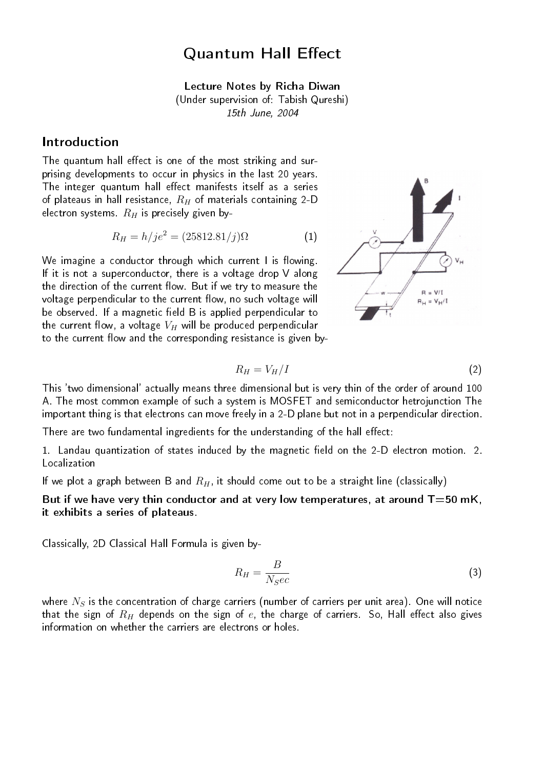# Quantum Hall Effect

Lecture Notes by Richa Diwan (Under supervision of: Tabish Qureshi) 15th June, 2004

## Introduction

The quantum hall effect is one of the most striking and surprising developments to occur in physics in the last 20 years. The integer quantum hall effect manifests itself as a series of plateaus in hall resistance,  $R_H$  of materials containing 2-D electron systems.  $R_H$  is precisely given by-

$$
R_H = h/j e^2 = (25812.81/j)\Omega
$$
 (1)

We imagine a conductor through which current  $\mathsf I$  is flowing. If it is not a superconductor, there is a voltage drop V along the direction of the current flow. But if we try to measure the voltage perpendicular to the current flow, no such voltage will be observed. If a magnetic field B is applied perpendicular to the current flow, a voltage  $V_H$  will be produced perpendicular to the current flow and the corresponding resistance is given by-



$$
R_H = V_H / I \tag{2}
$$

This 'two dimensional' actually means three dimensional but is very thin of the order of around 100 A. The most common example of such a system is MOSFET and semiconductor hetrojunction The important thing is that electrons can move freely in a 2-D plane but not in a perpendicular direction.

There are two fundamental ingredients for the understanding of the hall effect:

1. Landau quantization of states induced by the magnetic field on the 2-D electron motion. 2. **Localization** 

If we plot a graph between B and  $R_H$ , it should come out to be a straight line (classically)

But if we have very thin conductor and at very low temperatures, at around  $T=50$  mK, it exhibits a series of plateaus.

Classically, 2D Classical Hall Formula is given by-

$$
R_H = \frac{B}{N_S e c} \tag{3}
$$

where  $N_S$  is the concentration of charge carriers (number of carriers per unit area). One will notice that the sign of  $R_H$  depends on the sign of  $e$ , the charge of carriers. So, Hall effect also gives information on whether the carriers are electrons or holes.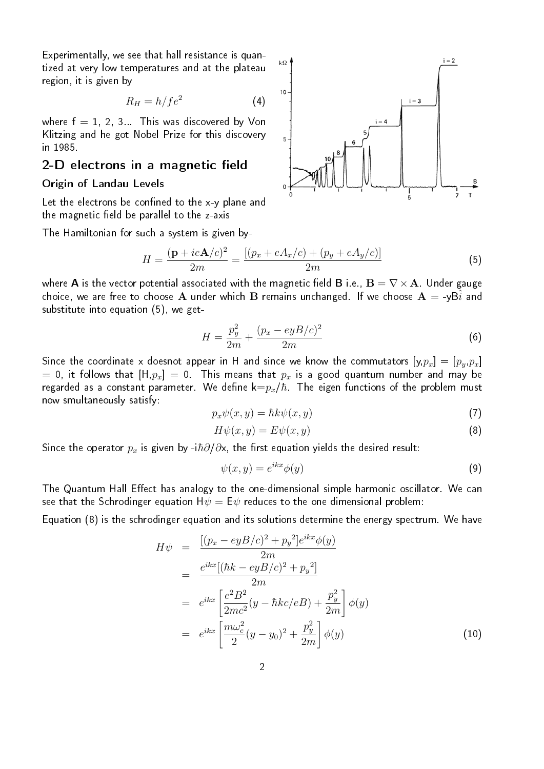Experimentally, we see that hall resistance is quantized at very low temperatures and at the plateau region, it is given by

$$
R_H = h/f e^2 \tag{4}
$$

where  $f = 1, 2, 3...$  This was discovered by Von Klitzing and he got Nobel Prize for this discovery in 1985.

### 2-D electrons in a magnetic field

#### Origin of Landau Levels

Let the electrons be confined to the  $x-y$  plane and the magnetic field be parallel to the z-axis

The Hamiltonian for such a system is given by-

$$
H = \frac{(\mathbf{p} + ie\mathbf{A}/c)^2}{2m} = \frac{[(p_x + eA_x/c) + (p_y + eA_y/c)]}{2m}
$$
(5)

where **A** is the vector potential associated with the magnetic field **B** i.e.,  $\mathbf{B} = \nabla \times \mathbf{A}$ . Under gauge choice, we are free to choose A under which B remains unchanged. If we choose  $A = -yB\hat{i}$  and substitute into equation (5), we get-

$$
H = \frac{p_y^2}{2m} + \frac{(p_x - eyB/c)^2}{2m}
$$
 (6)

Since the coordinate x doesnot appear in H and since we know the commutators  $[y, p_x] = [p_y, p_x]$ = 0, it follows that  $[H,p_x] = 0$  . This means that  $p_x$  is a good quantum number and may be regarded as a constant parameter. We define  $k=p_x/\hbar$  . The eigen functions of the problem must now smultaneously satisfy:

$$
p_x \psi(x, y) = \hbar k \psi(x, y) \tag{7}
$$

$$
H\psi(x,y) = E\psi(x,y) \tag{8}
$$

Since the operator  $p_x$  is given by -i $\hbar \partial/\partial x$ , the first equation yields the desired result:

$$
\psi(x,y) = e^{ikx}\phi(y) \tag{9}
$$

The Quantum Hall Effect has analogy to the one-dimensional simple harmonic oscillator. We can see that the Schrodinger equation  $H\psi = E\psi$  reduces to the one dimensional problem:

Equation (8) is the schrodinger equation and its solutions determine the energy spectrum. We have

$$
H\psi = \frac{[(p_x - eyB/c)^2 + p_y^2]e^{ikx}\phi(y)}{2m}
$$
  
= 
$$
\frac{e^{ikx}[(\hbar k - eyB/c)^2 + p_y^2]}{2m}
$$
  
= 
$$
e^{ikx}\left[\frac{e^2B^2}{2mc^2}(y - \hbar kc/eB) + \frac{p_y^2}{2m}\right]\phi(y)
$$
  
= 
$$
e^{ikx}\left[\frac{m\omega_c^2}{2}(y - y_0)^2 + \frac{p_y^2}{2m}\right]\phi(y)
$$
(10)

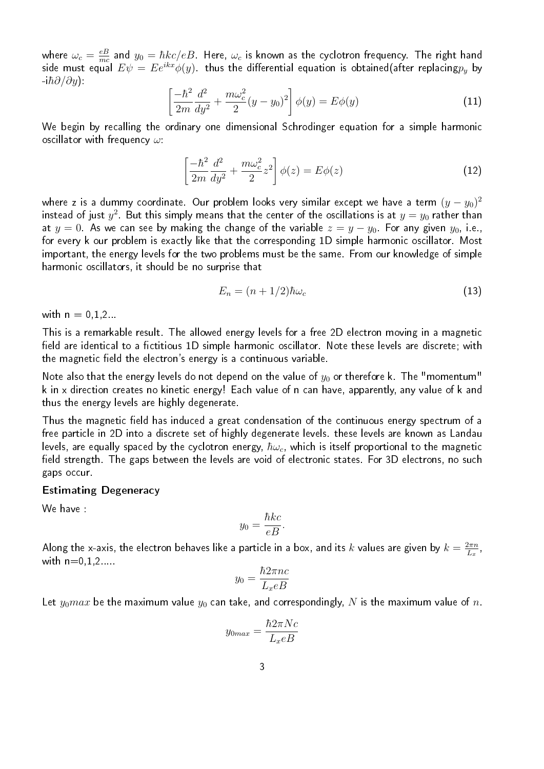where  $\omega_c=\frac{eB}{mc}$  $\frac{eB}{mc}$  and  $y_0=\hbar k c/eB$  . Here,  $\omega_c$  is known as the cyclotron frequency. The right hand side must equal  $E\psi=Ee^{ikx}\phi(y)$  thus the differential equation is obtained(after replacing $p_y$  by  $-i\hbar\partial/\partial y$  ):

$$
\left[\frac{-\hbar^2}{2m}\frac{d^2}{dy^2} + \frac{m\omega_c^2}{2}(y - y_0)^2\right]\phi(y) = E\phi(y)
$$
\n(11)

We begin by recalling the ordinary one dimensional Schrodinger equation for a simple harmonic oscillator with frequency  $\omega$ :

$$
\left[\frac{-\hbar^2}{2m}\frac{d^2}{dy^2} + \frac{m\omega_c^2}{2}z^2\right]\phi(z) = E\phi(z)
$$
\n(12)

where z is a dummy coordinate. Our problem looks very similar except we have a term  $(y-y_0)^2$ instead of just  $y^2$ . But this simply means that the center of the oscillations is at  $y=y_0$  rather than at  $y = 0$ . As we can see by making the change of the variable  $z = y - y_0$ . For any given  $y_0$ , i.e., for every k our problem is exactly like that the corresponding 1D simple harmonic oscillator. Most important, the energy levels for the two problems must be the same. From our knowledge of simple harmonic oscillators, it should be no surprise that

$$
E_n = (n+1/2)\hbar\omega_c \tag{13}
$$

with  $n = 0, 1, 2$ ...

This is a remarkable result. The allowed energy levels for a free 2D electron moving in a magnetic field are identical to a fictitious 1D simple harmonic oscillator. Note these levels are discrete; with the magnetic field the electron's energy is a continuous variable.

Note also that the energy levels do not depend on the value of  $y_0$  or therefore k. The "momentum" k in x direction creates no kinetic energy! Each value of n can have, apparently, any value of k and thus the energy levels are highly degenerate.

Thus the magnetic field has induced a great condensation of the continuous energy spectrum of a free particle in 2D into a discrete set of highly degenerate levels. these levels are known as Landau levels, are equally spaced by the cyclotron energy,  $\hbar\omega_c$ , which is itself proportional to the magnetic field strength. The gaps between the levels are void of electronic states. For 3D electrons, no such gaps occur.

#### Estimating Degeneracy

We have :

$$
y_0 = \frac{\hbar k c}{eB}.
$$

Along the x-axis, the electron behaves like a particle in a box, and its  $k$  values are given by  $k=\frac{2\pi n}{L_n}$  $\frac{2\pi n}{L_x}$  , with  $n=0.1.2...$ 

$$
y_0 = \frac{\hbar 2\pi n c}{L_x e B}
$$

Let  $y_0max$  be the maximum value  $y_0$  can take, and correspondingly, N is the maximum value of n.

$$
y_{0max} = \frac{\hbar 2\pi Nc}{L_x eB}
$$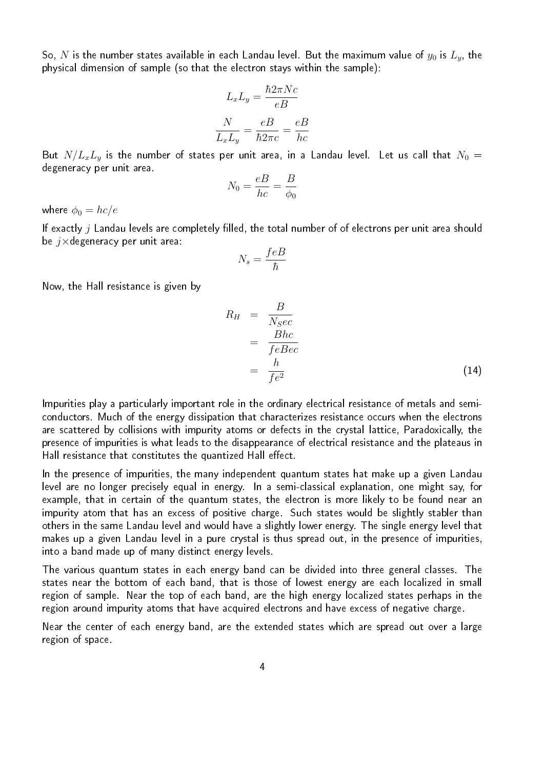So, N is the number states available in each Landau level. But the maximum value of  $y_0$  is  $L_y$ , the physical dimension of sample (so that the electron stays within the sample):

$$
L_x L_y = \frac{\hbar 2\pi Nc}{eB}
$$

$$
\frac{N}{L_x L_y} = \frac{eB}{\hbar 2\pi c} = \frac{eB}{hc}
$$

But  $N/L_xL_y$  is the number of states per unit area, in a Landau level. Let us call that  $N_0 =$ degeneracy per unit area.

$$
N_0 = \frac{eB}{hc} = \frac{B}{\phi_0}
$$

where  $\phi_0 = hc/e$ 

If exactly  $j$  Landau levels are completely filled, the total number of of electrons per unit area should be  $j\times$ degeneracy per unit area:

$$
N_s = \frac{feB}{\hbar}
$$

Now, the Hall resistance is given by

$$
R_H = \frac{B}{N_S e c}
$$
  
= 
$$
\frac{Bhc}{feBec}
$$
  
= 
$$
\frac{h}{fe^2}
$$
 (14)

Impurities play a particularly important role in the ordinary electrical resistance of metals and semiconductors. Much of the energy dissipation that characterizes resistance occurs when the electrons are scattered by collisions with impurity atoms or defects in the crystal lattice, Paradoxically, the presence of impurities is what leads to the disappearance of electrical resistance and the plateaus in Hall resistance that constitutes the quantized Hall effect.

In the presence of impurities, the many independent quantum states hat make up a given Landau level are no longer precisely equal in energy. In a semi-classical explanation, one might say, for example, that in certain of the quantum states, the electron is more likely to be found near an impurity atom that has an excess of positive charge. Such states would be slightly stabler than others in the same Landau level and would have a slightly lower energy. The single energy level that makes up a given Landau level in a pure crystal is thus spread out, in the presence of impurities, into a band made up of many distinct energy levels.

The various quantum states in each energy band can be divided into three general classes. The states near the bottom of each band, that is those of lowest energy are each localized in small region of sample. Near the top of each band, are the high energy localized states perhaps in the region around impurity atoms that have acquired electrons and have excess of negative charge.

Near the center of each energy band, are the extended states which are spread out over a large region of space.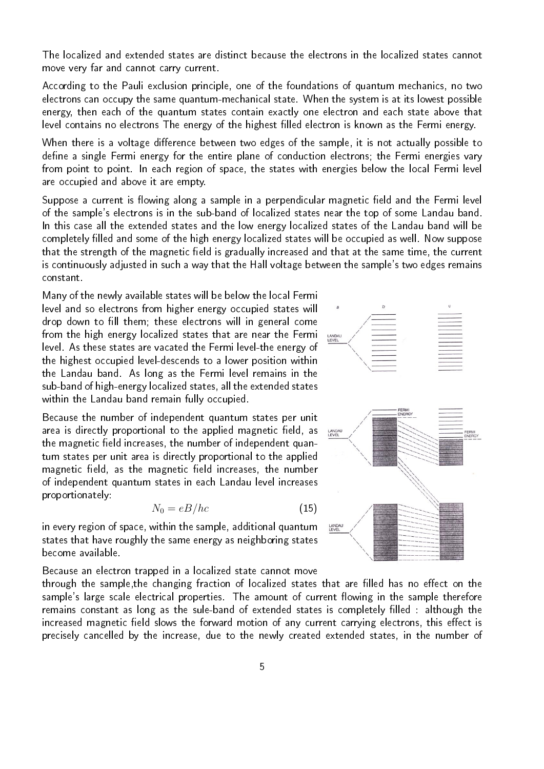The localized and extended states are distinct because the electrons in the localized states cannot move very far and cannot carry current.

According to the Pauli exclusion principle, one of the foundations of quantum mechanics, no two electrons can occupy the same quantum-mechanical state. When the system is at its lowest possible energy, then each of the quantum states contain exactly one electron and each state above that level contains no electrons The energy of the highest filled electron is known as the Fermi energy.

When there is a voltage difference between two edges of the sample, it is not actually possible to define a single Fermi energy for the entire plane of conduction electrons; the Fermi energies vary from point to point. In each region of space, the states with energies below the local Fermi level are occupied and above it are empty.

Suppose a current is flowing along a sample in a perpendicular magnetic field and the Fermi level of the sample's electrons is in the sub-band of localized states near the top of some Landau band. In this case all the extended states and the low energy localized states of the Landau band will be completely filled and some of the high energy localized states will be occupied as well. Now suppose that the strength of the magnetic field is gradually increased and that at the same time, the current is continuously adjusted in such a way that the Hall voltage between the sample's two edges remains constant.

Many of the newly available states will be below the local Fermi level and so electrons from higher energy occupied states will drop down to fill them; these electrons will in general come from the high energy localized states that are near the Fermi level. As these states are vacated the Fermi level-the energy of the highest occupied level-descends to a lower position within the Landau band. As long as the Fermi level remains in the sub-band of high-energy localized states, all the extended states within the Landau band remain fully occupied.

Because the number of independent quantum states per unit area is directly proportional to the applied magnetic field, as the magnetic field increases, the number of independent quantum states per unit area is directly proportional to the applied magnetic field, as the magnetic field increases, the number of independent quantum states in each Landau level increases proportionately:

$$
N_0 = eB/hc \tag{15}
$$

in every region of space, within the sample, additional quantum states that have roughly the same energy as neighboring states become available.

Because an electron trapped in a localized state cannot move

through the sample, the changing fraction of localized states that are filled has no effect on the sample's large scale electrical properties. The amount of current flowing in the sample therefore remains constant as long as the sule-band of extended states is completely filled : although the increased magnetic field slows the forward motion of any current carrying electrons, this effect is precisely cancelled by the increase, due to the newly created extended states, in the number of

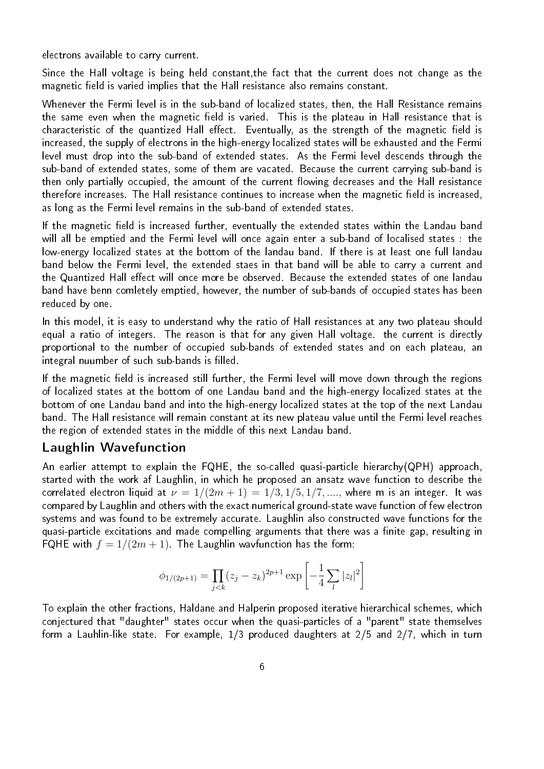electrons available to carry current.

Since the Hall voltage is being held constant,the fact that the current does not change as the magnetic field is varied implies that the Hall resistance also remains constant.

Whenever the Fermi level is in the sub-band of localized states, then, the Hall Resistance remains the same even when the magnetic field is varied. This is the plateau in Hall resistance that is characteristic of the quantized Hall effect. Eventually, as the strength of the magnetic field is increased, the supply of electrons in the high-energy localized states will be exhausted and the Fermi level must drop into the sub-band of extended states. As the Fermi level descends through the sub-band of extended states, some of them are vacated. Because the current carrying sub-band is then only partially occupied, the amount of the current flowing decreases and the Hall resistance therefore increases. The Hall resistance continues to increase when the magnetic field is increased, as long as the Fermi level remains in the sub-band of extended states.

If the magnetic field is increased further, eventually the extended states within the Landau band will all be emptied and the Fermi level will once again enter a sub-band of localised states : the low-energy localized states at the bottom of the landau band. If there is at least one full landau band below the Fermi level, the extended staes in that band will be able to carry a current and the Quantized Hall effect will once more be observed. Because the extended states of one landau band have benn comletely emptied, however, the number of sub-bands of occupied states has been reduced by one.

In this model, it is easy to understand why the ratio of Hall resistances at any two plateau should equal a ratio of integers. The reason is that for any given Hall voltage. the current is directly proportional to the number of occupied sub-bands of extended states and on each plateau, an integral nuumber of such sub-bands is filled.

If the magnetic field is increased still further, the Fermi level will move down through the regions of localized states at the bottom of one Landau band and the high-energy localized states at the bottom of one Landau band and into the high-energy localized states at the top of the next Landau band. The Hall resistance will remain constant at its new plateau value until the Fermi level reaches the region of extended states in the middle of this next Landau band.

## Laughlin Wavefunction

An earlier attempt to explain the FQHE, the so-called quasi-particle hierarchy(QPH) approach, started with the work af Laughlin, in which he proposed an ansatz wave function to describe the correlated electron liquid at  $\nu = 1/(2m + 1) = 1/3, 1/5, 1/7, \ldots$ , where m is an integer. It was compared by Laughlin and others with the exact numerical ground-state wave function of few electron systems and was found to be extremely accurate. Laughlin also constructed wave functions for the quasi-particle excitations and made compelling arguments that there was a finite gap, resulting in FQHE with  $f = 1/(2m + 1)$ . The Laughlin wavfunction has the form:

$$
\phi_{1/(2p+1)} = \prod_{j < k} (z_j - z_k)^{2p+1} \exp\left[ -\frac{1}{4} \sum_l |z_l|^2 \right]
$$

To explain the other fractions, Haldane and Halperin proposed iterative hierarchical schemes, which conjectured that "daughter" states occur when the quasi-particles of a "parent" state themselves form a Lauhlin-like state. For example, 1/3 produced daughters at 2/5 and 2/7, which in turn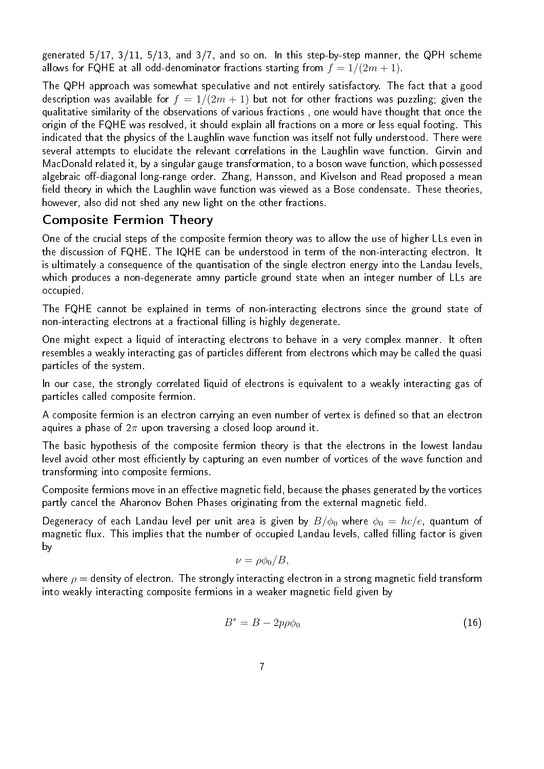generated 5/17, 3/11, 5/13, and 3/7, and so on. In this step-by-step manner, the QPH scheme allows for FQHE at all odd-denominator fractions starting from  $f = 1/(2m + 1)$ .

The QPH approach was somewhat speculative and not entirely satisfactory. The fact that a good description was available for  $f = 1/(2m + 1)$  but not for other fractions was puzzling; given the qualitative similarity of the observations of various fractions , one would have thought that once the origin of the FQHE was resolved, it should explain all fractions on a more or less equal footing. This indicated that the physics of the Laughlin wave function was itself not fully understood. There were several attempts to elucidate the relevant correlations in the Laughlin wave function. Girvin and MacDonald related it, by a singular gauge transformation, to a boson wave function, which possessed algebraic off-diagonal long-range order. Zhang, Hansson, and Kivelson and Read proposed a mean field theory in which the Laughlin wave function was viewed as a Bose condensate. These theories, however, also did not shed any new light on the other fractions.

## Composite Fermion Theory

One of the crucial steps of the composite fermion theory was to allow the use of higher LLs even in the discussion of FQHE. The IQHE can be understood in term of the non-interacting electron. It is ultimately a consequence of the quantisation of the single electron energy into the Landau levels, which produces a non-degenerate amny particle ground state when an integer number of LLs are occupied.

The FQHE cannot be explained in terms of non-interacting electrons since the ground state of non-interacting electrons at a fractional filling is highly degenerate.

One might expect a liquid of interacting electrons to behave in a very complex manner. It often resembles a weakly interacting gas of particles different from electrons which may be called the quasi particles of the system.

In our case, the strongly correlated liquid of electrons is equivalent to a weakly interacting gas of particles called composite fermion.

A composite fermion is an electron carrying an even number of vertex is defined so that an electron aquires a phase of  $2\pi$  upon traversing a closed loop around it.

The basic hypothesis of the composite fermion theory is that the electrons in the lowest landau level avoid other most efficiently by capturing an even number of vortices of the wave function and transforming into composite fermions.

Composite fermions move in an effective magnetic field, because the phases generated by the vortices partly cancel the Aharonov Bohen Phases originating from the external magnetic field.

Degeneracy of each Landau level per unit area is given by  $B/\phi_0$  where  $\phi_0 = hc/e$ , quantum of magnetic flux. This implies that the number of occupied Landau levels, called filling factor is given by

$$
\nu = \rho \phi_0 / B,
$$

where  $\rho =$  density of electron. The strongly interacting electron in a strong magnetic field transform into weakly interacting composite fermions in a weaker magnetic field given by

$$
B^* = B - 2p\rho\phi_0 \tag{16}
$$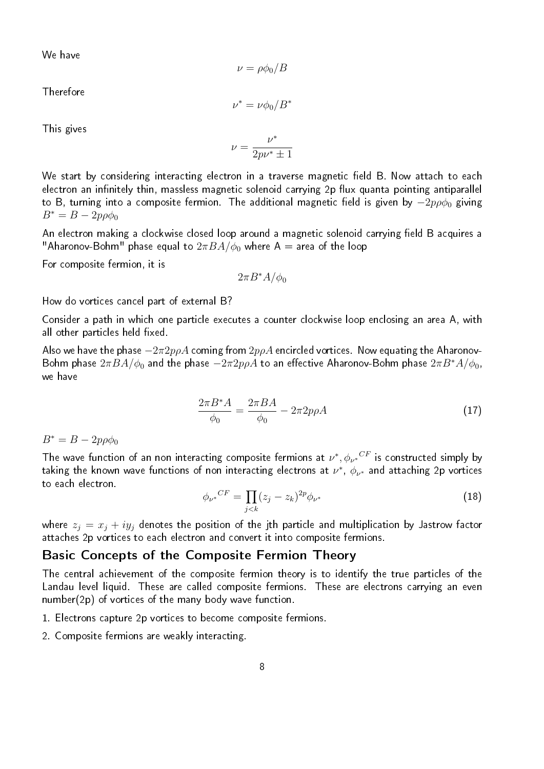We have

$$
\nu = \rho \phi_0 / B
$$

Therefore

 $\nu^* = \nu \phi_0 / B^*$ 

This gives

$$
\nu=\frac{\nu^*}{2p\nu^*\pm 1}
$$

We start by considering interacting electron in a traverse magnetic field B. Now attach to each electron an infinitely thin, massless magnetic solenoid carrying 2p flux quanta pointing antiparallel to B, turning into a composite fermion. The additional magnetic field is given by  $-2p\rho\phi_0$  giving  $B^* = B - 2p\rho\phi_0$ 

An electron making a clockwise closed loop around a magnetic solenoid carrying field B acquires a "Aharonov-Bohm" phase equal to  $2\pi BA/\phi_0$  where A = area of the loop

For composite fermion, it is

$$
2\pi B^*A/\phi_0
$$

How do vortices cancel part of external B?

Consider a path in which one particle executes a counter clockwise loop enclosing an area A, with all other particles held fixed.

Also we have the phase  $-2\pi 2p\rho A$  coming from  $2p\rho A$  encircled vortices. Now equating the Aharonov-Bohm phase  $2\pi BA/\phi_0$  and the phase  $-2\pi 2p\rho A$  to an effective Aharonov-Bohm phase  $2\pi B^*A/\phi_0$ , we have

$$
\frac{2\pi B^* A}{\phi_0} = \frac{2\pi BA}{\phi_0} - 2\pi 2p\rho A \tag{17}
$$

 $B^* = B - 2p\rho\phi_0$ 

The wave function of an non interacting composite fermions at  $\nu^*, {\phi_{\nu^*}}^{CF}$  is constructed simply by taking the known wave functions of non interacting electrons at  $\nu^*,\ \phi_{\nu^*}$  and attaching 2p vortices to each electron.

$$
\phi_{\nu^*}{}^{CF} = \prod_{j < k} (z_j - z_k)^{2p} \phi_{\nu^*} \tag{18}
$$

where  $z_j = x_j + iy_j$  denotes the position of the jth particle and multiplication by Jastrow factor attaches 2p vortices to each electron and convert it into composite fermions.

#### Basic Concepts of the Composite Fermion Theory

The central achievement of the composite fermion theory is to identify the true particles of the Landau level liquid. These are called composite fermions. These are electrons carrying an even number(2p) of vortices of the many body wave function.

- 1. Electrons capture 2p vortices to become composite fermions.
- 2. Composite fermions are weakly interacting.